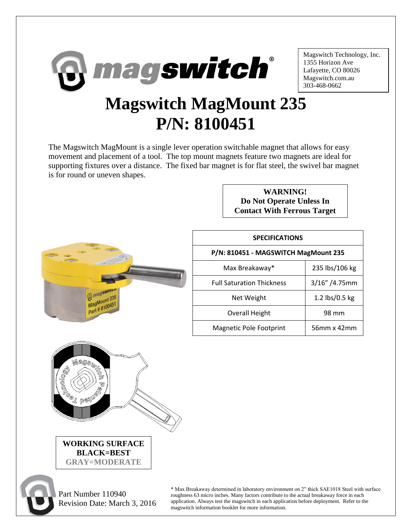

Magswitch Technology, Inc. 1355 Horizon Ave Lafayette, CO 80026 Magswitch.com.au 303-468-0662

## **Magswitch MagMount 235 P/N: 8100451**

The Magswitch MagMount is a single lever operation switchable magnet that allows for easy movement and placement of a tool. The top mount magnets feature two magnets are ideal for supporting fixtures over a distance. The fixed bar magnet is for flat steel, the swivel bar magnet is for round or uneven shapes.



| <b>WARNING!</b>                    |  |
|------------------------------------|--|
| Do Not Operate Unless In           |  |
| <b>Contact With Ferrous Target</b> |  |

| <b>SPECIFICATIONS</b>                |                  |  |
|--------------------------------------|------------------|--|
| P/N: 810451 - MAGSWITCH MagMount 235 |                  |  |
| Max Breakaway*                       | 235 lbs/106 kg   |  |
| <b>Full Saturation Thickness</b>     | $3/16''/4.75$ mm |  |
| Net Weight                           | 1.2 lbs/0.5 kg   |  |
| Overall Height                       | 98 mm            |  |
| Magnetic Pole Footprint              | 56mm x 42mm      |  |



 Part Number 110940 Revision Date: March 3, 2016

\* Max Breakaway determined in laboratory environment on 2" thick SAE1018 Steel with surface roughness 63 micro inches. Many factors contribute to the actual breakaway force in each application. Always test the magswitch in each application before deployment. Refer to the magswitch information booklet for more information.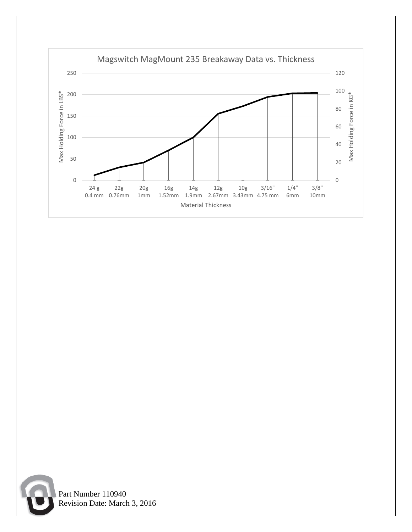



 Part Number 110940 Revision Date: March 3, 2016